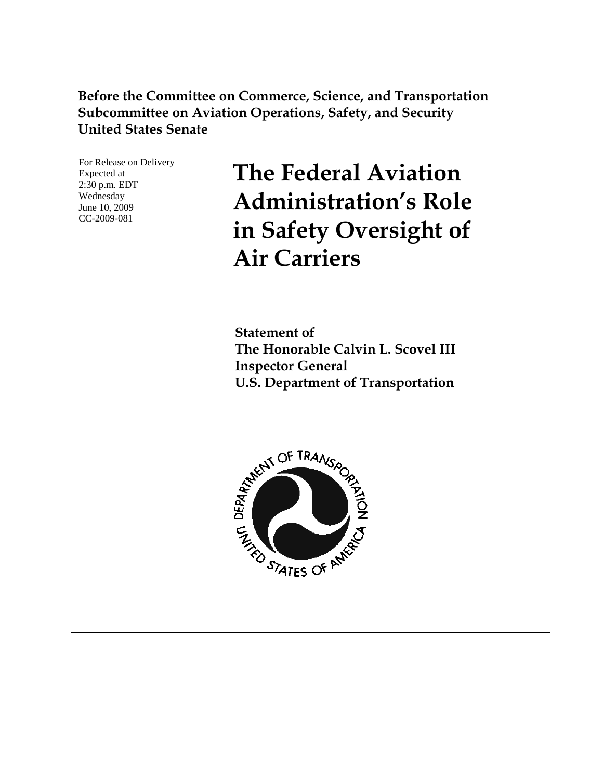## **Before the Committee on Commerce, Science, and Transportation Subcommittee on Aviation Operations, Safety, and Security United States Senate**

For Release on Delivery Expected at 2:30 p.m. EDT Wednesday June 10, 2009 CC-2009-081

**The Federal Aviation Administration's Role in Safety Oversight of Air Carriers** 

**Statement of The Honorable Calvin L. Scovel III Inspector General U.S. Department of Transportation** 

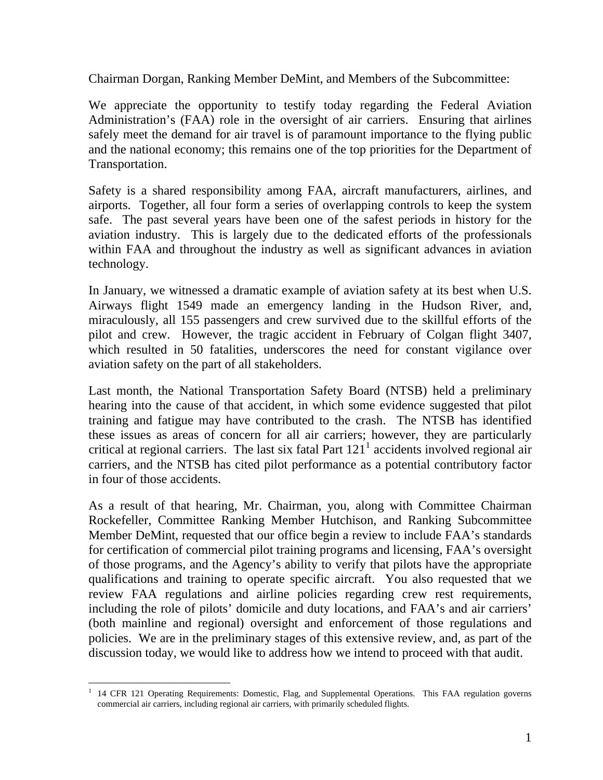Chairman Dorgan, Ranking Member DeMint, and Members of the Subcommittee:

We appreciate the opportunity to testify today regarding the Federal Aviation Administration's (FAA) role in the oversight of air carriers. Ensuring that airlines safely meet the demand for air travel is of paramount importance to the flying public and the national economy; this remains one of the top priorities for the Department of Transportation.

Safety is a shared responsibility among FAA, aircraft manufacturers, airlines, and airports. Together, all four form a series of overlapping controls to keep the system safe. The past several years have been one of the safest periods in history for the aviation industry. This is largely due to the dedicated efforts of the professionals within FAA and throughout the industry as well as significant advances in aviation technology.

In January, we witnessed a dramatic example of aviation safety at its best when U.S. Airways flight 1549 made an emergency landing in the Hudson River, and, miraculously, all 155 passengers and crew survived due to the skillful efforts of the pilot and crew. However, the tragic accident in February of Colgan flight 3407, which resulted in 50 fatalities, underscores the need for constant vigilance over aviation safety on the part of all stakeholders.

Last month, the National Transportation Safety Board (NTSB) held a preliminary hearing into the cause of that accident, in which some evidence suggested that pilot training and fatigue may have contributed to the crash. The NTSB has identified these issues as areas of concern for all air carriers; however, they are particularly critical at regional carriers. The last six fatal Part  $121<sup>1</sup>$  $121<sup>1</sup>$  accidents involved regional air carriers, and the NTSB has cited pilot performance as a potential contributory factor in four of those accidents.

As a result of that hearing, Mr. Chairman, you, along with Committee Chairman Rockefeller, Committee Ranking Member Hutchison, and Ranking Subcommittee Member DeMint, requested that our office begin a review to include FAA's standards for certification of commercial pilot training programs and licensing, FAA's oversight of those programs, and the Agency's ability to verify that pilots have the appropriate qualifications and training to operate specific aircraft. You also requested that we review FAA regulations and airline policies regarding crew rest requirements, including the role of pilots' domicile and duty locations, and FAA's and air carriers' (both mainline and regional) oversight and enforcement of those regulations and policies. We are in the preliminary stages of this extensive review, and, as part of the discussion today, we would like to address how we intend to proceed with that audit.

<span id="page-1-0"></span><sup>1&</sup>lt;br><sup>1</sup> 14 CFR 121 Operating Requirements: Domestic, Flag, and Supplemental Operations. This FAA regulation governs commercial air carriers, including regional air carriers, with primarily scheduled flights.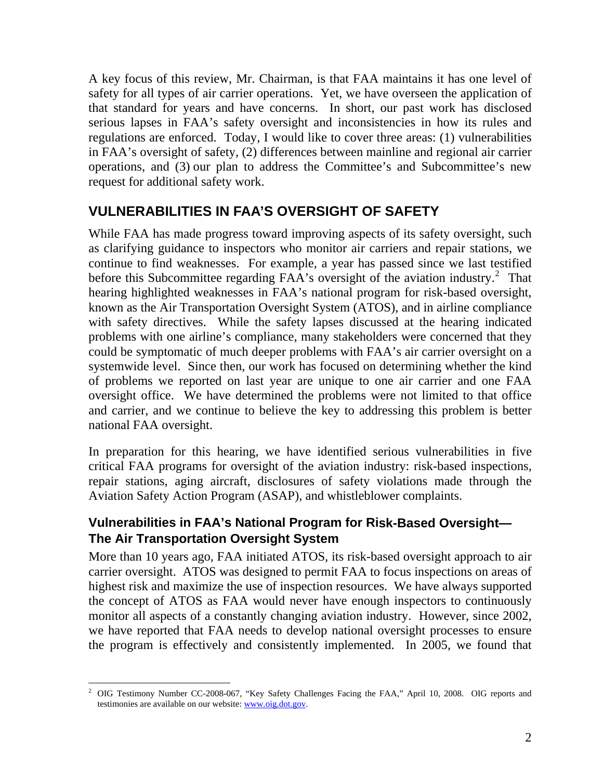A key focus of this review, Mr. Chairman, is that FAA maintains it has one level of safety for all types of air carrier operations. Yet, we have overseen the application of that standard for years and have concerns. In short, our past work has disclosed serious lapses in FAA's safety oversight and inconsistencies in how its rules and regulations are enforced. Today, I would like to cover three areas: (1) vulnerabilities in FAA's oversight of safety, (2) differences between mainline and regional air carrier operations, and (3) our plan to address the Committee's and Subcommittee's new request for additional safety work.

# **VULNERABILITIES IN FAA'S OVERSIGHT OF SAFETY**

While FAA has made progress toward improving aspects of its safety oversight, such as clarifying guidance to inspectors who monitor air carriers and repair stations, we continue to find weaknesses. For example, a year has passed since we last testified before this Subcommittee regarding  $FAA$ 's oversight of the aviation industry.<sup>[2](#page-2-0)</sup> That hearing highlighted weaknesses in FAA's national program for risk-based oversight, known as the Air Transportation Oversight System (ATOS), and in airline compliance with safety directives. While the safety lapses discussed at the hearing indicated problems with one airline's compliance, many stakeholders were concerned that they could be symptomatic of much deeper problems with FAA's air carrier oversight on a systemwide level. Since then, our work has focused on determining whether the kind of problems we reported on last year are unique to one air carrier and one FAA oversight office. We have determined the problems were not limited to that office and carrier, and we continue to believe the key to addressing this problem is better national FAA oversight.

In preparation for this hearing, we have identified serious vulnerabilities in five critical FAA programs for oversight of the aviation industry: risk-based inspections, repair stations, aging aircraft, disclosures of safety violations made through the Aviation Safety Action Program (ASAP), and whistleblower complaints.

## **Vulnerabilities in FAA's National Program for Risk-Based Oversight— The Air Transportation Oversight System**

More than 10 years ago, FAA initiated ATOS, its risk-based oversight approach to air carrier oversight. ATOS was designed to permit FAA to focus inspections on areas of highest risk and maximize the use of inspection resources. We have always supported the concept of ATOS as FAA would never have enough inspectors to continuously monitor all aspects of a constantly changing aviation industry. However, since 2002, we have reported that FAA needs to develop national oversight processes to ensure the program is effectively and consistently implemented. In 2005, we found that

<span id="page-2-0"></span><sup>&</sup>lt;sup>2</sup> OIG Testimony Number CC-2008-067, "Key Safety Challenges Facing the FAA," April 10, 2008. OIG reports and testimonies are available on our website: [www.oig.dot.gov.](http://www.oig.dot.gov/)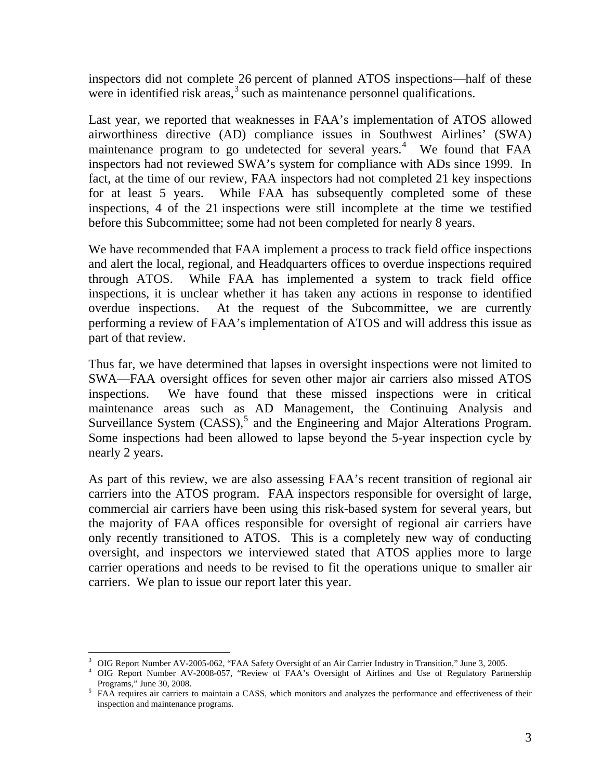inspectors did not complete 26 percent of planned ATOS inspections—half of these were in identified risk  $\arccos^3$  $\arccos^3$  such as maintenance personnel qualifications.

Last year, we reported that weaknesses in FAA's implementation of ATOS allowed airworthiness directive (AD) compliance issues in Southwest Airlines' (SWA) maintenance program to go undetected for several years.<sup>[4](#page-3-1)</sup> We found that FAA inspectors had not reviewed SWA's system for compliance with ADs since 1999. In fact, at the time of our review, FAA inspectors had not completed 21 key inspections for at least 5 years. While FAA has subsequently completed some of these inspections, 4 of the 21 inspections were still incomplete at the time we testified before this Subcommittee; some had not been completed for nearly 8 years.

We have recommended that FAA implement a process to track field office inspections and alert the local, regional, and Headquarters offices to overdue inspections required through ATOS. While FAA has implemented a system to track field office inspections, it is unclear whether it has taken any actions in response to identified overdue inspections. At the request of the Subcommittee, we are currently performing a review of FAA's implementation of ATOS and will address this issue as part of that review.

Thus far, we have determined that lapses in oversight inspections were not limited to SWA—FAA oversight offices for seven other major air carriers also missed ATOS inspections. We have found that these missed inspections were in critical maintenance areas such as AD Management, the Continuing Analysis and Surveillance System  $(CASS)$ ,<sup>[5](#page-3-2)</sup> and the Engineering and Major Alterations Program. Some inspections had been allowed to lapse beyond the 5-year inspection cycle by nearly 2 years.

As part of this review, we are also assessing FAA's recent transition of regional air carriers into the ATOS program. FAA inspectors responsible for oversight of large, commercial air carriers have been using this risk-based system for several years, but the majority of FAA offices responsible for oversight of regional air carriers have only recently transitioned to ATOS. This is a completely new way of conducting oversight, and inspectors we interviewed stated that ATOS applies more to large carrier operations and needs to be revised to fit the operations unique to smaller air carriers. We plan to issue our report later this year.

 $\overline{a}$ 

<span id="page-3-0"></span><sup>&</sup>lt;sup>3</sup> OIG Report Number AV-2005-062, "FAA Safety Oversight of an Air Carrier Industry in Transition," June 3, 2005.

<span id="page-3-1"></span>OIG Report Number AV-2008-057, "Review of FAA's Oversight of Airlines and Use of Regulatory Partnership Programs," June 30, 2008. 5

<span id="page-3-2"></span><sup>&</sup>lt;sup>5</sup> FAA requires air carriers to maintain a CASS, which monitors and analyzes the performance and effectiveness of their inspection and maintenance programs.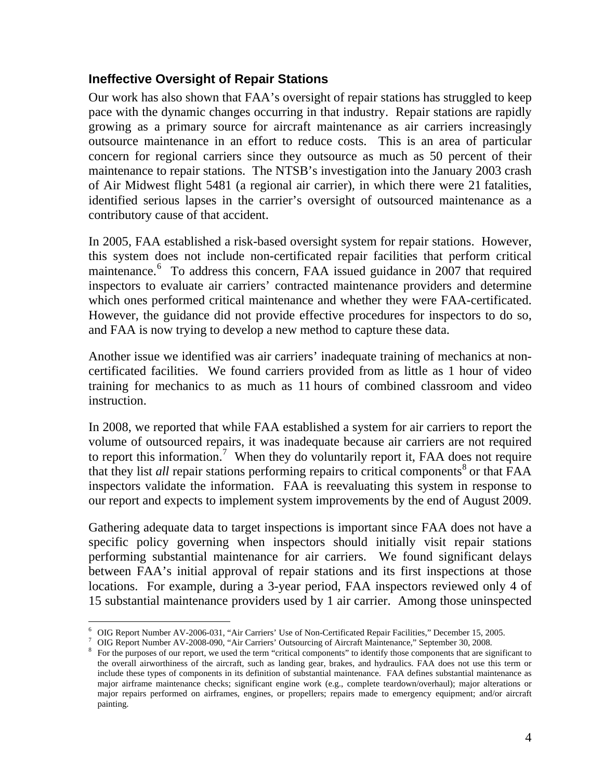### **Ineffective Oversight of Repair Stations**

Our work has also shown that FAA's oversight of repair stations has struggled to keep pace with the dynamic changes occurring in that industry. Repair stations are rapidly growing as a primary source for aircraft maintenance as air carriers increasingly outsource maintenance in an effort to reduce costs. This is an area of particular concern for regional carriers since they outsource as much as 50 percent of their maintenance to repair stations. The NTSB's investigation into the January 2003 crash of Air Midwest flight 5481 (a regional air carrier), in which there were 21 fatalities, identified serious lapses in the carrier's oversight of outsourced maintenance as a contributory cause of that accident.

In 2005, FAA established a risk-based oversight system for repair stations. However, this system does not include non-certificated repair facilities that perform critical maintenance.<sup>[6](#page-4-0)</sup> To address this concern, FAA issued guidance in 2007 that required inspectors to evaluate air carriers' contracted maintenance providers and determine which ones performed critical maintenance and whether they were FAA-certificated. However, the guidance did not provide effective procedures for inspectors to do so, and FAA is now trying to develop a new method to capture these data.

Another issue we identified was air carriers' inadequate training of mechanics at noncertificated facilities. We found carriers provided from as little as 1 hour of video training for mechanics to as much as 11 hours of combined classroom and video instruction.

In 2008, we reported that while FAA established a system for air carriers to report the volume of outsourced repairs, it was inadequate because air carriers are not required to report this information.<sup>[7](#page-4-1)</sup> When they do voluntarily report it, FAA does not require that they list *all* repair stations performing repairs to critical components<sup>[8](#page-4-2)</sup> or that FAA inspectors validate the information. FAA is reevaluating this system in response to our report and expects to implement system improvements by the end of August 2009.

Gathering adequate data to target inspections is important since FAA does not have a specific policy governing when inspectors should initially visit repair stations performing substantial maintenance for air carriers. We found significant delays between FAA's initial approval of repair stations and its first inspections at those locations. For example, during a 3-year period, FAA inspectors reviewed only 4 of 15 substantial maintenance providers used by 1 air carrier. Among those uninspected

 $\overline{a}$ <sup>6</sup> OIG Report Number AV-2006-031, "Air Carriers' Use of Non-Certificated Repair Facilities," December 15, 2005.

<span id="page-4-1"></span><span id="page-4-0"></span><sup>&</sup>lt;sup>7</sup> OIG Report Number AV-2008-090, "Air Carriers' Outsourcing of Aircraft Maintenance," September 30, 2008.

<span id="page-4-2"></span><sup>&</sup>lt;sup>8</sup> For the purposes of our report, we used the term "critical components" to identify those components that are significant to the overall airworthiness of the aircraft, such as landing gear, brakes, and hydraulics. FAA does not use this term or include these types of components in its definition of substantial maintenance. FAA defines substantial maintenance as major airframe maintenance checks; significant engine work (e.g., complete teardown/overhaul); major alterations or major repairs performed on airframes, engines, or propellers; repairs made to emergency equipment; and/or aircraft painting.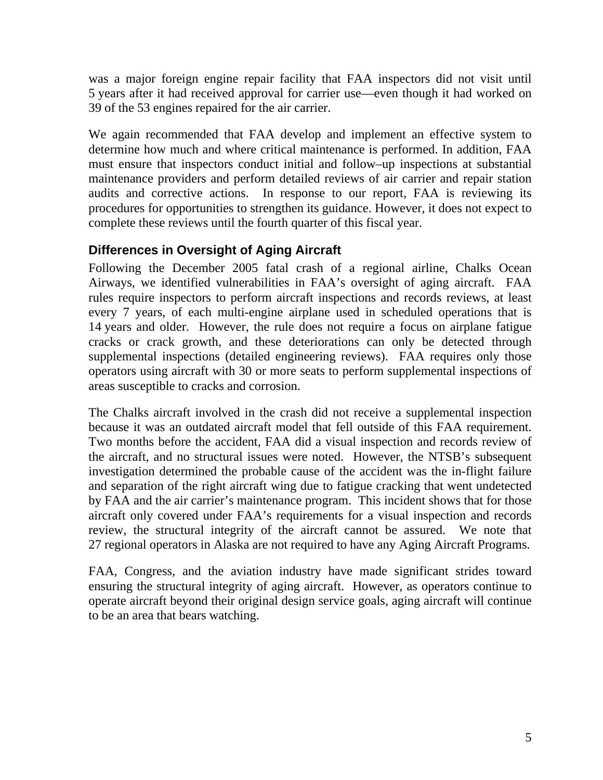was a major foreign engine repair facility that FAA inspectors did not visit until 5 years after it had received approval for carrier use—even though it had worked on 39 of the 53 engines repaired for the air carrier.

We again recommended that FAA develop and implement an effective system to determine how much and where critical maintenance is performed. In addition, FAA must ensure that inspectors conduct initial and follow–up inspections at substantial maintenance providers and perform detailed reviews of air carrier and repair station audits and corrective actions. In response to our report, FAA is reviewing its procedures for opportunities to strengthen its guidance. However, it does not expect to complete these reviews until the fourth quarter of this fiscal year.

## **Differences in Oversight of Aging Aircraft**

Following the December 2005 fatal crash of a regional airline, Chalks Ocean Airways, we identified vulnerabilities in FAA's oversight of aging aircraft. FAA rules require inspectors to perform aircraft inspections and records reviews, at least every 7 years, of each multi-engine airplane used in scheduled operations that is 14 years and older. However, the rule does not require a focus on airplane fatigue cracks or crack growth, and these deteriorations can only be detected through supplemental inspections (detailed engineering reviews). FAA requires only those operators using aircraft with 30 or more seats to perform supplemental inspections of areas susceptible to cracks and corrosion.

The Chalks aircraft involved in the crash did not receive a supplemental inspection because it was an outdated aircraft model that fell outside of this FAA requirement. Two months before the accident, FAA did a visual inspection and records review of the aircraft, and no structural issues were noted. However, the NTSB's subsequent investigation determined the probable cause of the accident was the in-flight failure and separation of the right aircraft wing due to fatigue cracking that went undetected by FAA and the air carrier's maintenance program. This incident shows that for those aircraft only covered under FAA's requirements for a visual inspection and records review, the structural integrity of the aircraft cannot be assured. We note that 27 regional operators in Alaska are not required to have any Aging Aircraft Programs.

FAA, Congress, and the aviation industry have made significant strides toward ensuring the structural integrity of aging aircraft. However, as operators continue to operate aircraft beyond their original design service goals, aging aircraft will continue to be an area that bears watching.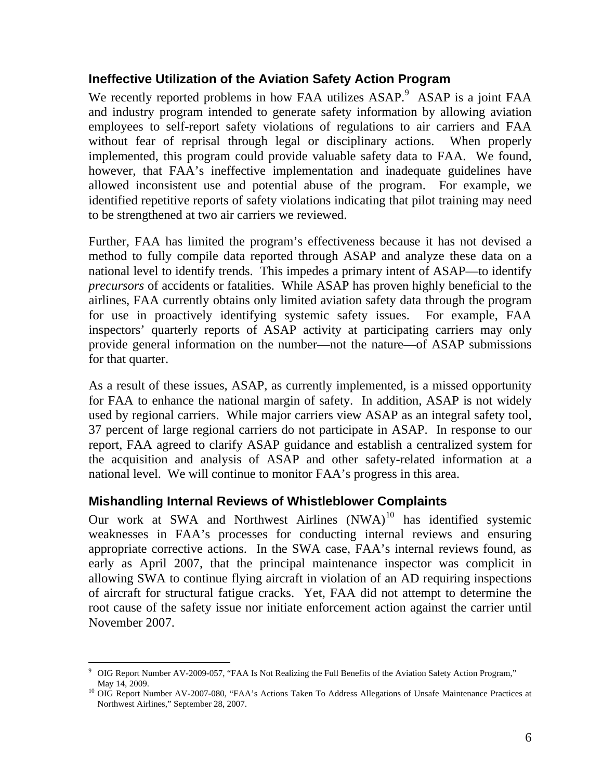### **Ineffective Utilization of the Aviation Safety Action Program**

We recently reported problems in how FAA utilizes ASAP.<sup>[9](#page-6-0)</sup> ASAP is a joint FAA and industry program intended to generate safety information by allowing aviation employees to self-report safety violations of regulations to air carriers and FAA without fear of reprisal through legal or disciplinary actions. When properly implemented, this program could provide valuable safety data to FAA. We found, however, that FAA's ineffective implementation and inadequate guidelines have allowed inconsistent use and potential abuse of the program. For example, we identified repetitive reports of safety violations indicating that pilot training may need to be strengthened at two air carriers we reviewed.

Further, FAA has limited the program's effectiveness because it has not devised a method to fully compile data reported through ASAP and analyze these data on a national level to identify trends. This impedes a primary intent of ASAP—to identify *precursors* of accidents or fatalities. While ASAP has proven highly beneficial to the airlines, FAA currently obtains only limited aviation safety data through the program for use in proactively identifying systemic safety issues. For example, FAA inspectors' quarterly reports of ASAP activity at participating carriers may only provide general information on the number—not the nature—of ASAP submissions for that quarter.

As a result of these issues, ASAP, as currently implemented, is a missed opportunity for FAA to enhance the national margin of safety. In addition, ASAP is not widely used by regional carriers. While major carriers view ASAP as an integral safety tool, 37 percent of large regional carriers do not participate in ASAP. In response to our report, FAA agreed to clarify ASAP guidance and establish a centralized system for the acquisition and analysis of ASAP and other safety-related information at a national level. We will continue to monitor FAA's progress in this area.

### **Mishandling Internal Reviews of Whistleblower Complaints**

 $\overline{a}$ 

Our work at SWA and Northwest Airlines  $(NWA)^{10}$  $(NWA)^{10}$  $(NWA)^{10}$  has identified systemic weaknesses in FAA's processes for conducting internal reviews and ensuring appropriate corrective actions. In the SWA case, FAA's internal reviews found, as early as April 2007, that the principal maintenance inspector was complicit in allowing SWA to continue flying aircraft in violation of an AD requiring inspections of aircraft for structural fatigue cracks. Yet, FAA did not attempt to determine the root cause of the safety issue nor initiate enforcement action against the carrier until November 2007.

<span id="page-6-0"></span><sup>9</sup> OIG Report Number AV-2009-057, "FAA Is Not Realizing the Full Benefits of the Aviation Safety Action Program," May 14, 2009.<br><sup>10</sup> OIG Report Number AV-2007-080, "FAA's Actions Taken To Address Allegations of Unsafe Maintenance Practices at

<span id="page-6-1"></span>Northwest Airlines," September 28, 2007.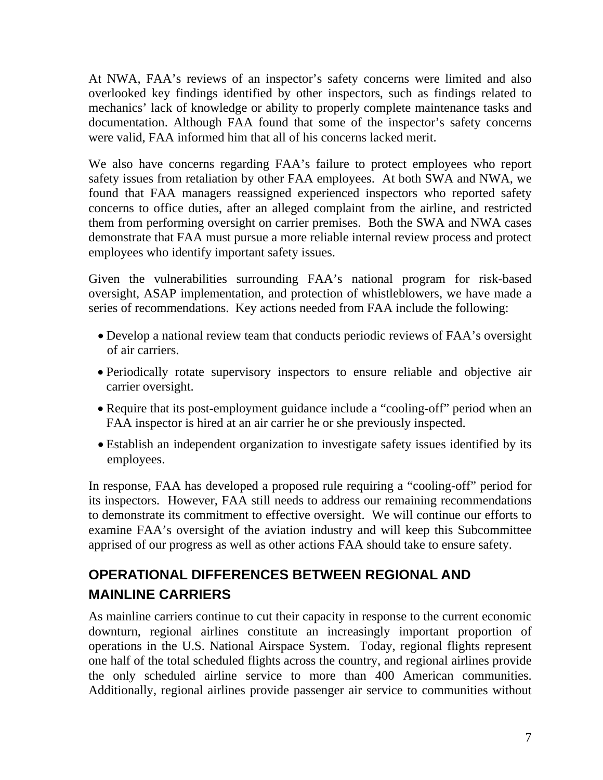At NWA, FAA's reviews of an inspector's safety concerns were limited and also overlooked key findings identified by other inspectors, such as findings related to mechanics' lack of knowledge or ability to properly complete maintenance tasks and documentation. Although FAA found that some of the inspector's safety concerns were valid, FAA informed him that all of his concerns lacked merit.

We also have concerns regarding FAA's failure to protect employees who report safety issues from retaliation by other FAA employees. At both SWA and NWA, we found that FAA managers reassigned experienced inspectors who reported safety concerns to office duties, after an alleged complaint from the airline, and restricted them from performing oversight on carrier premises. Both the SWA and NWA cases demonstrate that FAA must pursue a more reliable internal review process and protect employees who identify important safety issues.

Given the vulnerabilities surrounding FAA's national program for risk-based oversight, ASAP implementation, and protection of whistleblowers, we have made a series of recommendations. Key actions needed from FAA include the following:

- Develop a national review team that conducts periodic reviews of FAA's oversight of air carriers.
- Periodically rotate supervisory inspectors to ensure reliable and objective air carrier oversight.
- Require that its post-employment guidance include a "cooling-off" period when an FAA inspector is hired at an air carrier he or she previously inspected.
- Establish an independent organization to investigate safety issues identified by its employees.

In response, FAA has developed a proposed rule requiring a "cooling-off" period for its inspectors. However, FAA still needs to address our remaining recommendations to demonstrate its commitment to effective oversight. We will continue our efforts to examine FAA's oversight of the aviation industry and will keep this Subcommittee apprised of our progress as well as other actions FAA should take to ensure safety.

# **OPERATIONAL DIFFERENCES BETWEEN REGIONAL AND MAINLINE CARRIERS**

As mainline carriers continue to cut their capacity in response to the current economic downturn, regional airlines constitute an increasingly important proportion of operations in the U.S. National Airspace System. Today, regional flights represent one half of the total scheduled flights across the country, and regional airlines provide the only scheduled airline service to more than 400 American communities. Additionally, regional airlines provide passenger air service to communities without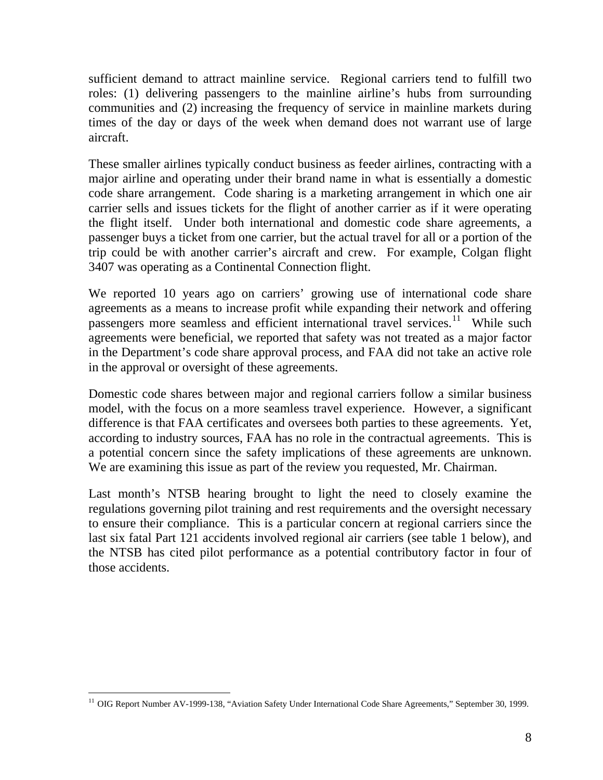sufficient demand to attract mainline service. Regional carriers tend to fulfill two roles: (1) delivering passengers to the mainline airline's hubs from surrounding communities and (2) increasing the frequency of service in mainline markets during times of the day or days of the week when demand does not warrant use of large aircraft.

These smaller airlines typically conduct business as feeder airlines, contracting with a [major airline](http://en.wikipedia.org/wiki/Major_carrier) and [operating under their brand name](http://en.wikipedia.org/wiki/Doing_business_as) in what is essentially a domestic code share arrangement. Code sharing is a marketing arrangement in which one air carrier sells and issues tickets for the flight of another carrier as if it were operating the flight itself. Under both international and domestic code share agreements, a passenger buys a ticket from one carrier, but the actual travel for all or a portion of the trip could be with another carrier's aircraft and crew. For example, Colgan flight 3407 was operating as a Continental Connection flight.

We reported 10 years ago on carriers' growing use of international code share agreements as a means to increase profit while expanding their network and offering passengers more seamless and efficient international travel services.<sup>[11](#page-8-0)</sup> While such agreements were beneficial, we reported that safety was not treated as a major factor in the Department's code share approval process, and FAA did not take an active role in the approval or oversight of these agreements.

Domestic code shares between major and regional carriers follow a similar business model, with the focus on a more seamless travel experience. However, a significant difference is that FAA certificates and oversees both parties to these agreements. Yet, according to industry sources, FAA has no role in the contractual agreements. This is a potential concern since the safety implications of these agreements are unknown. We are examining this issue as part of the review you requested, Mr. Chairman.

Last month's NTSB hearing brought to light the need to closely examine the regulations governing pilot training and rest requirements and the oversight necessary to ensure their compliance. This is a particular concern at regional carriers since the last six fatal Part 121 accidents involved regional air carriers (see table 1 below), and the NTSB has cited pilot performance as a potential contributory factor in four of those accidents.

<span id="page-8-0"></span> <sup>11</sup> OIG Report Number AV-1999-138, "Aviation Safety Under International Code Share Agreements," September 30, 1999.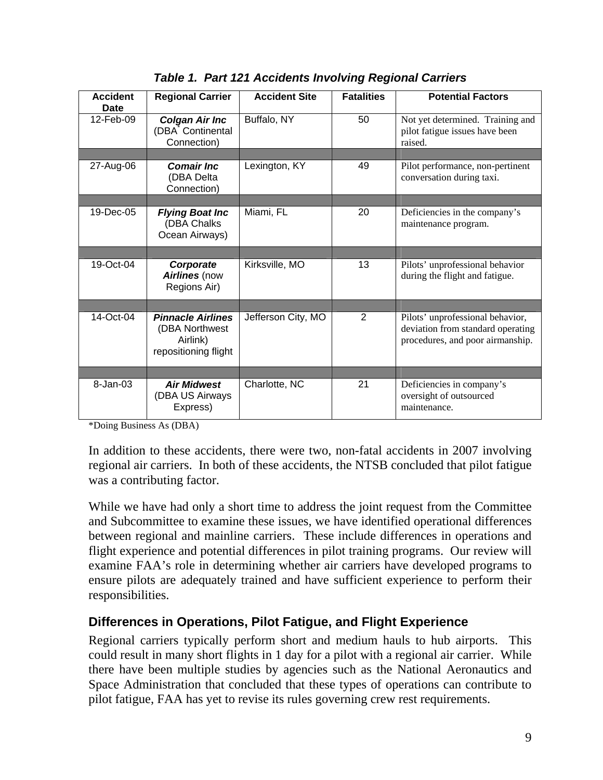| <b>Accident</b><br><b>Date</b> | <b>Regional Carrier</b>                                                         | <b>Accident Site</b> | <b>Fatalities</b> | <b>Potential Factors</b>                                                                                  |  |
|--------------------------------|---------------------------------------------------------------------------------|----------------------|-------------------|-----------------------------------------------------------------------------------------------------------|--|
| 12-Feb-09                      | <b>Colgan Air Inc</b><br>(DBA <sup>®</sup> Continental<br>Connection)           | Buffalo, NY          | 50                | Not yet determined. Training and<br>pilot fatigue issues have been<br>raised.                             |  |
|                                |                                                                                 |                      |                   |                                                                                                           |  |
| 27-Aug-06                      | <b>Comair Inc.</b><br>(DBA Delta<br>Connection)                                 | Lexington, KY        | 49                | Pilot performance, non-pertinent<br>conversation during taxi.                                             |  |
|                                |                                                                                 |                      |                   |                                                                                                           |  |
| 19-Dec-05                      | <b>Flying Boat Inc</b><br>(DBA Chalks<br>Ocean Airways)                         | Miami, FL            | 20                | Deficiencies in the company's<br>maintenance program.                                                     |  |
|                                |                                                                                 |                      |                   |                                                                                                           |  |
| 19-Oct-04                      | Corporate<br>Airlines (now<br>Regions Air)                                      | Kirksville, MO       | 13                | Pilots' unprofessional behavior<br>during the flight and fatigue.                                         |  |
|                                |                                                                                 |                      |                   |                                                                                                           |  |
| 14-Oct-04                      | <b>Pinnacle Airlines</b><br>(DBA Northwest)<br>Airlink)<br>repositioning flight | Jefferson City, MO   | $\overline{2}$    | Pilots' unprofessional behavior,<br>deviation from standard operating<br>procedures, and poor airmanship. |  |
|                                |                                                                                 |                      |                   |                                                                                                           |  |
| 8-Jan-03                       | <b>Air Midwest</b><br>(DBA US Airways<br>Express)                               | Charlotte, NC        | 21                | Deficiencies in company's<br>oversight of outsourced<br>maintenance.                                      |  |

*Table 1. Part 121 Accidents Involving Regional Carriers* 

\*Doing Business As (DBA)

In addition to these accidents, there were two, non-fatal accidents in 2007 involving regional air carriers. In both of these accidents, the NTSB concluded that pilot fatigue was a contributing factor.

While we have had only a short time to address the joint request from the Committee and Subcommittee to examine these issues, we have identified operational differences between regional and mainline carriers. These include differences in operations and flight experience and potential differences in pilot training programs. Our review will examine FAA's role in determining whether air carriers have developed programs to ensure pilots are adequately trained and have sufficient experience to perform their responsibilities.

## **Differences in Operations, Pilot Fatigue, and Flight Experience**

Regional carriers typically perform short and medium hauls to hub airports. This could result in many short flights in 1 day for a pilot with a regional air carrier. While there have been multiple studies by agencies such as the National Aeronautics and Space Administration that concluded that these types of operations can contribute to pilot fatigue, FAA has yet to revise its rules governing crew rest requirements.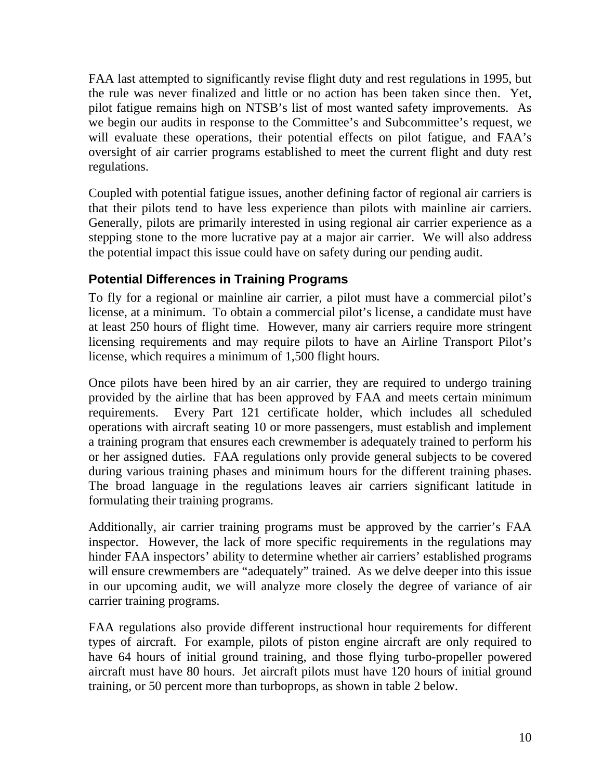FAA last attempted to significantly revise flight duty and rest regulations in 1995, but the rule was never finalized and little or no action has been taken since then. Yet, pilot fatigue remains high on NTSB's list of most wanted safety improvements. As we begin our audits in response to the Committee's and Subcommittee's request, we will evaluate these operations, their potential effects on pilot fatigue, and FAA's oversight of air carrier programs established to meet the current flight and duty rest regulations.

Coupled with potential fatigue issues, another defining factor of regional air carriers is that their pilots tend to have less experience than pilots with mainline air carriers. Generally, pilots are primarily interested in using regional air carrier experience as a stepping stone to the more lucrative pay at a major air carrier. We will also address the potential impact this issue could have on safety during our pending audit.

## **Potential Differences in Training Programs**

To fly for a regional or mainline air carrier, a pilot must have a commercial pilot's license, at a minimum. To obtain a commercial pilot's license, a candidate must have at least 250 hours of flight time. However, many air carriers require more stringent licensing requirements and may require pilots to have an Airline Transport Pilot's license, which requires a minimum of 1,500 flight hours.

Once pilots have been hired by an air carrier, they are required to undergo training provided by the airline that has been approved by FAA and meets certain minimum requirements. Every Part 121 certificate holder, which includes all scheduled operations with aircraft seating 10 or more passengers, must establish and implement a training program that ensures each crewmember is adequately trained to perform his or her assigned duties. FAA regulations only provide general subjects to be covered during various training phases and minimum hours for the different training phases. The broad language in the regulations leaves air carriers significant latitude in formulating their training programs.

Additionally, air carrier training programs must be approved by the carrier's FAA inspector. However, the lack of more specific requirements in the regulations may hinder FAA inspectors' ability to determine whether air carriers' established programs will ensure crewmembers are "adequately" trained. As we delve deeper into this issue in our upcoming audit, we will analyze more closely the degree of variance of air carrier training programs.

FAA regulations also provide different instructional hour requirements for different types of aircraft. For example, pilots of piston engine aircraft are only required to have 64 hours of initial ground training, and those flying turbo-propeller powered aircraft must have 80 hours. Jet aircraft pilots must have 120 hours of initial ground training, or 50 percent more than turboprops, as shown in table 2 below.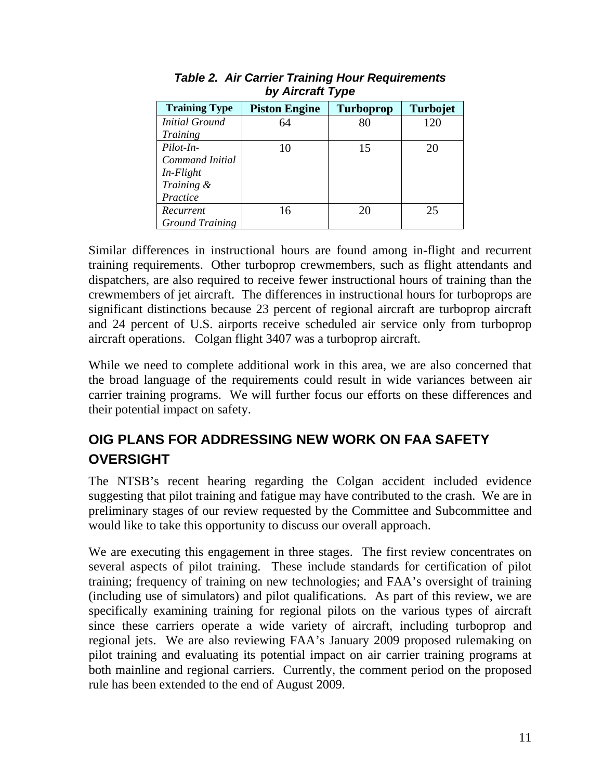| <b>Training Type</b>   | <b>Piston Engine</b> | <b>Turboprop</b> | <b>Turbojet</b> |
|------------------------|----------------------|------------------|-----------------|
| <b>Initial Ground</b>  | 64                   | 80               | 120             |
| Training               |                      |                  |                 |
| Pilot-In-              | 10                   | 15               | 20              |
| Command Initial        |                      |                  |                 |
| $In$ - <i>Flight</i>   |                      |                  |                 |
| Training &             |                      |                  |                 |
| Practice               |                      |                  |                 |
| Recurrent              | 16                   | 20               | 25              |
| <b>Ground Training</b> |                      |                  |                 |

*Table 2. Air Carrier Training Hour Requirements by Aircraft Type* 

Similar differences in instructional hours are found among in-flight and recurrent training requirements. Other turboprop crewmembers, such as flight attendants and dispatchers, are also required to receive fewer instructional hours of training than the crewmembers of jet aircraft. The differences in instructional hours for turboprops are significant distinctions because 23 percent of regional aircraft are turboprop aircraft and 24 percent of U.S. airports receive scheduled air service only from turboprop aircraft operations. Colgan flight 3407 was a turboprop aircraft.

While we need to complete additional work in this area, we are also concerned that the broad language of the requirements could result in wide variances between air carrier training programs. We will further focus our efforts on these differences and their potential impact on safety.

# **OIG PLANS FOR ADDRESSING NEW WORK ON FAA SAFETY OVERSIGHT**

The NTSB's recent hearing regarding the Colgan accident included evidence suggesting that pilot training and fatigue may have contributed to the crash. We are in preliminary stages of our review requested by the Committee and Subcommittee and would like to take this opportunity to discuss our overall approach.

We are executing this engagement in three stages. The first review concentrates on several aspects of pilot training. These include standards for certification of pilot training; frequency of training on new technologies; and FAA's oversight of training (including use of simulators) and pilot qualifications. As part of this review, we are specifically examining training for regional pilots on the various types of aircraft since these carriers operate a wide variety of aircraft, including turboprop and regional jets. We are also reviewing FAA's January 2009 proposed rulemaking on pilot training and evaluating its potential impact on air carrier training programs at both mainline and regional carriers. Currently, the comment period on the proposed rule has been extended to the end of August 2009.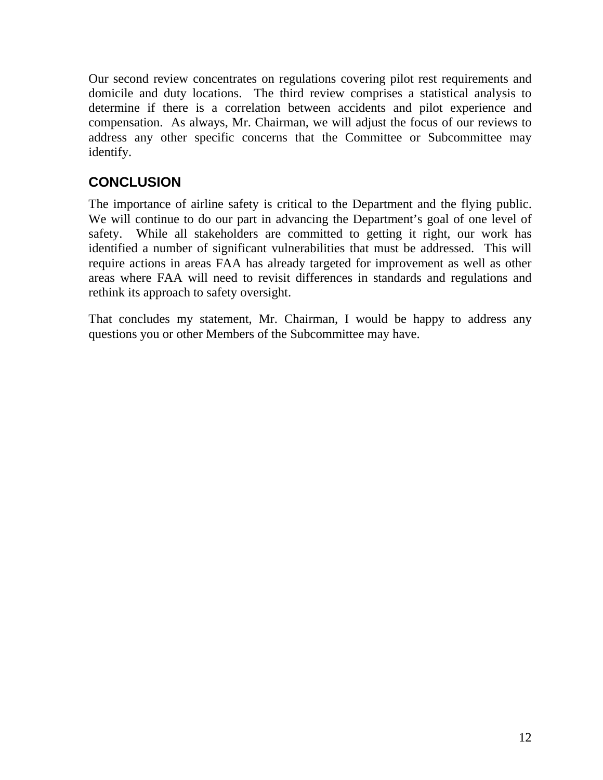Our second review concentrates on regulations covering pilot rest requirements and domicile and duty locations. The third review comprises a statistical analysis to determine if there is a correlation between accidents and pilot experience and compensation. As always, Mr. Chairman, we will adjust the focus of our reviews to address any other specific concerns that the Committee or Subcommittee may identify.

# **CONCLUSION**

The importance of airline safety is critical to the Department and the flying public. We will continue to do our part in advancing the Department's goal of one level of safety. While all stakeholders are committed to getting it right, our work has identified a number of significant vulnerabilities that must be addressed. This will require actions in areas FAA has already targeted for improvement as well as other areas where FAA will need to revisit differences in standards and regulations and rethink its approach to safety oversight.

That concludes my statement, Mr. Chairman, I would be happy to address any questions you or other Members of the Subcommittee may have.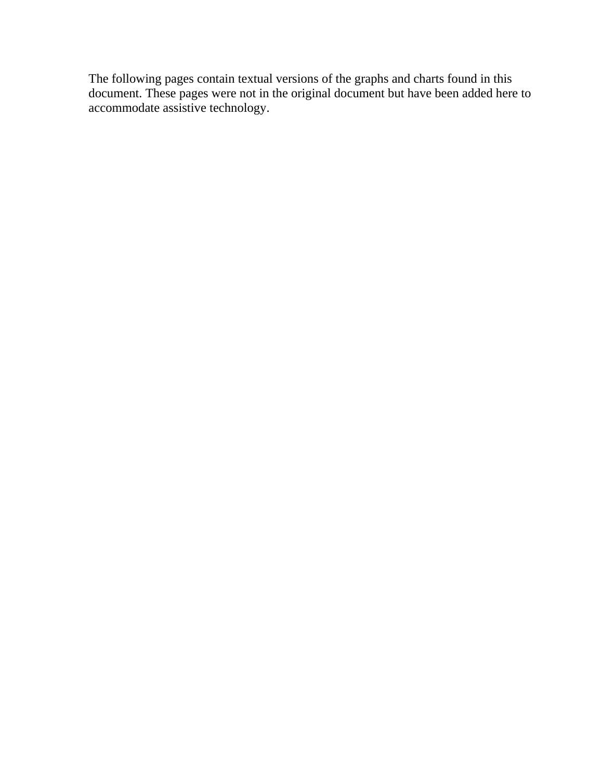The following pages contain textual versions of the graphs and charts found in this document. These pages were not in the original document but have been added here to accommodate assistive technology.